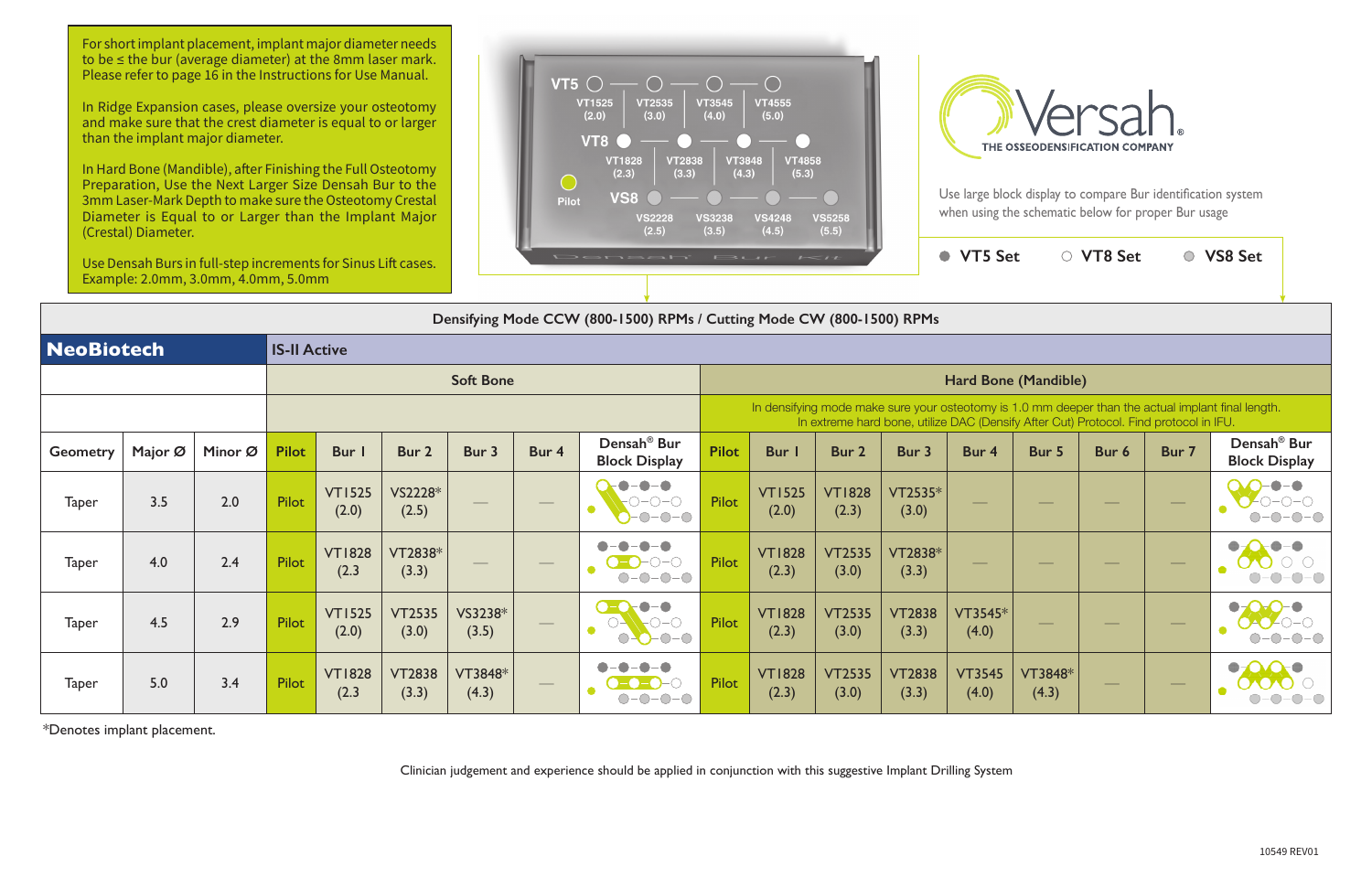Use large block display to compare Bur identification system



|                                                                                                                                                                                             | $\sim$                 |                        | <b>VT5 Set</b>         |                  | <b>VT8 Set</b> |       | <b>VS8 Set</b>                                  |  |  |  |  |  |  |
|---------------------------------------------------------------------------------------------------------------------------------------------------------------------------------------------|------------------------|------------------------|------------------------|------------------|----------------|-------|-------------------------------------------------|--|--|--|--|--|--|
|                                                                                                                                                                                             |                        |                        |                        |                  |                |       |                                                 |  |  |  |  |  |  |
| Mode CW (800-1500) RPMs                                                                                                                                                                     |                        |                        |                        |                  |                |       |                                                 |  |  |  |  |  |  |
|                                                                                                                                                                                             |                        |                        |                        |                  |                |       |                                                 |  |  |  |  |  |  |
| Hard Bone (Mandible)                                                                                                                                                                        |                        |                        |                        |                  |                |       |                                                 |  |  |  |  |  |  |
| In densifying mode make sure your osteotomy is 1.0 mm deeper than the actual implant final length.<br>In extreme hard bone, utilize DAC (Densify After Cut) Protocol. Find protocol in IFU. |                        |                        |                        |                  |                |       |                                                 |  |  |  |  |  |  |
| Bur I                                                                                                                                                                                       | Bur <sub>2</sub>       | Bur 3                  | Bur 4                  | Bur 5            | Bur 6          | Bur 7 | Densah <sup>®</sup> Bur<br><b>Block Display</b> |  |  |  |  |  |  |
| <b>VT1525</b><br>(2.0)                                                                                                                                                                      | <b>VT1828</b><br>(2.3) | $VT2535*$<br>(3.0)     |                        |                  |                |       |                                                 |  |  |  |  |  |  |
| <b>VT1828</b><br>(2.3)                                                                                                                                                                      | <b>VT2535</b><br>(3.0) | VT2838*<br>(3.3)       |                        |                  |                |       |                                                 |  |  |  |  |  |  |
| <b>VT1828</b><br>(2.3)                                                                                                                                                                      | <b>VT2535</b><br>(3.0) | <b>VT2838</b><br>(3.3) | $VT3545*$<br>(4.0)     |                  |                |       |                                                 |  |  |  |  |  |  |
| <b>VT1828</b><br>(2.3)                                                                                                                                                                      | <b>VT2535</b><br>(3.0) | <b>VT2838</b><br>(3.3) | <b>VT3545</b><br>(4.0) | VT3848*<br>(4.3) |                |       |                                                 |  |  |  |  |  |  |



| NeoBiotech      |         |         | <b>IS-II Active</b> |                        |                        |                                                                                                                                                                                             |                   |                                                 |                      |                        |                        |                        |                        |                  |                          |                                |                                                 |
|-----------------|---------|---------|---------------------|------------------------|------------------------|---------------------------------------------------------------------------------------------------------------------------------------------------------------------------------------------|-------------------|-------------------------------------------------|----------------------|------------------------|------------------------|------------------------|------------------------|------------------|--------------------------|--------------------------------|-------------------------------------------------|
|                 |         |         | <b>Soft Bone</b>    |                        |                        |                                                                                                                                                                                             |                   |                                                 | Hard Bone (Mandible) |                        |                        |                        |                        |                  |                          |                                |                                                 |
|                 |         |         |                     |                        |                        | In densifying mode make sure your osteotomy is 1.0 mm deeper than the actual implant final length.<br>In extreme hard bone, utilize DAC (Densify After Cut) Protocol. Find protocol in IFU. |                   |                                                 |                      |                        |                        |                        |                        |                  |                          |                                |                                                 |
| <b>Geometry</b> | Major Ø | Minor Ø | <b>Pilot</b>        | <b>Bur</b>             | Bur 2                  | Bur 3                                                                                                                                                                                       | Bur 4             | Densah <sup>®</sup> Bur<br><b>Block Display</b> | <b>Pilot</b>         | Bur                    | Bur 2                  | Bur 3                  | Bur 4                  | Bur 5            | Bur 6                    | Bur 7                          | Densah <sup>®</sup> Bur<br><b>Block Display</b> |
| <b>Taper</b>    | 3.5     | 2.0     | Pilot               | <b>VT1525</b><br>(2.0) | VS2228*<br>(2.5)       |                                                                                                                                                                                             |                   | $-0$ - $0$ - $\bigcirc$<br>$\bullet$<br>$O-O-O$ | <b>Pilot</b>         | <b>VT1525</b><br>(2.0) | <b>VT1828</b><br>(2.3) | VT2535*<br>(3.0)       |                        |                  | $\overline{\phantom{a}}$ | $\hspace{0.05cm}$              |                                                 |
| <b>Taper</b>    | 4.0     | 2.4     | Pilot               | <b>VT1828</b><br>(2.3) | VT2838*<br>(3.3)       | $\overline{\phantom{a}}$                                                                                                                                                                    | $\hspace{0.05cm}$ | $\bigcirc$ - $\bigcirc$                         | <b>Pilot</b>         | <b>VT1828</b><br>(2.3) | <b>VT2535</b><br>(3.0) | VT2838*<br>(3.3)       | $\frac{1}{2}$          |                  | $\overline{\phantom{a}}$ | $\hspace{0.05cm}$              |                                                 |
| <b>Taper</b>    | 4.5     | 2.9     | Pilot               | <b>VT1525</b><br>(2.0) | <b>VT2535</b><br>(3.0) | VS3238*<br>(3.5)                                                                                                                                                                            | $\hspace{0.05cm}$ | $\bullet$ - $\bullet$<br>$O-O$                  | <b>Pilot</b>         | <b>VT1828</b><br>(2.3) | <b>VT2535</b><br>(3.0) | <b>VT2838</b><br>(3.3) | VT3545*<br>(4.0)       |                  |                          | $\overbrace{\hspace{25mm}}^{}$ |                                                 |
| <b>Taper</b>    | 5.0     | 3.4     | Pilot               | <b>VT1828</b><br>(2.3) | <b>VT2838</b><br>(3.3) | VT3848*<br>(4.3)                                                                                                                                                                            |                   |                                                 | <b>Pilot</b>         | <b>VT1828</b><br>(2.3) | <b>VT2535</b><br>(3.0) | <b>VT2838</b><br>(3.3) | <b>VT3545</b><br>(4.0) | VT3848*<br>(4.3) |                          |                                |                                                 |

\*Denotes implant placement.

Clinician judgement and experience should be applied in conjunction with this suggestive Implant Drilling System

For short implant placement, implant major diameter needs to be ≤ the bur (average diameter) at the 8mm laser mark. Please refer to page 16 in the Instructions for Use Manual.

In Ridge Expansion cases, please oversize your osteotomy and make sure that the crest diameter is equal to or larger than the implant major diameter.

In Hard Bone (Mandible), after Finishing the Full Osteotomy Preparation, Use the Next Larger Size Densah Bur to the 3mm Laser-Mark Depth to make sure the Osteotomy Crestal Diameter is Equal to or Larger than the Implant Major (Crestal) Diameter.

Use Densah Burs in full-step increments for Sinus Lift cases. Example: 2.0mm, 3.0mm, 4.0mm, 5.0mm